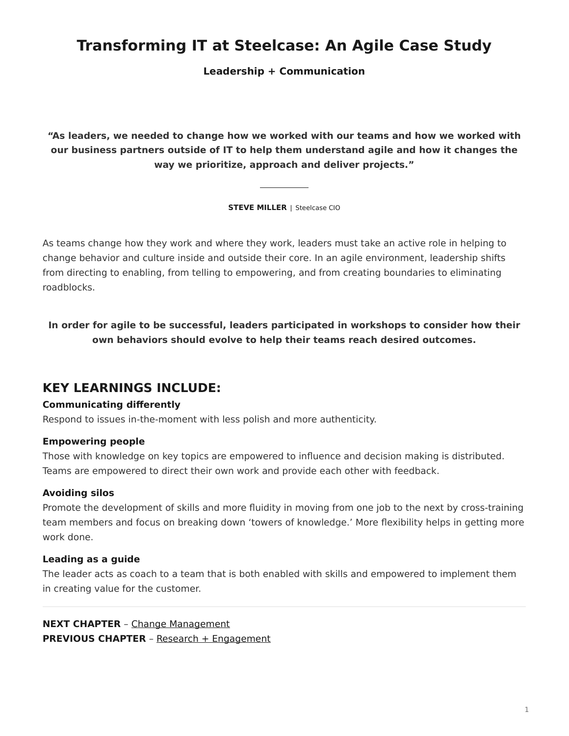# **Transforming IT at Steelcase: An Agile Case Study**

**Leadership + Communication**

**"As leaders, we needed to change how we worked with our teams and how we worked with our business partners outside of IT to help them understand agile and how it changes the way we prioritize, approach and deliver projects."**

**STEVE MILLER** | Steelcase CIO

As teams change how they work and where they work, leaders must take an active role in helping to change behavior and culture inside and outside their core. In an agile environment, leadership shifts from directing to enabling, from telling to empowering, and from creating boundaries to eliminating roadblocks.

**In order for agile to be successful, leaders participated in workshops to consider how their own behaviors should evolve to help their teams reach desired outcomes.**

## **KEY LEARNINGS INCLUDE:**

### **Communicating differently**

Respond to issues in-the-moment with less polish and more authenticity.

#### **Empowering people**

Those with knowledge on key topics are empowered to influence and decision making is distributed. Teams are empowered to direct their own work and provide each other with feedback.

#### **Avoiding silos**

Promote the development of skills and more fluidity in moving from one job to the next by cross-training team members and focus on breaking down 'towers of knowledge.' More flexibility helps in getting more work done.

#### **Leading as a guide**

The leader acts as coach to a team that is both enabled with skills and empowered to implement them in creating value for the customer.

**NEXT CHAPTER** – [Change Management](https://www.steelcase.com/eu-en/research/articles/agile-case-study-change-management/) **PREVIOUS CHAPTER** – [Research + Engagement](https://www.steelcase.com/eu-en/research/articles/agile-case-study-research-engagement/)